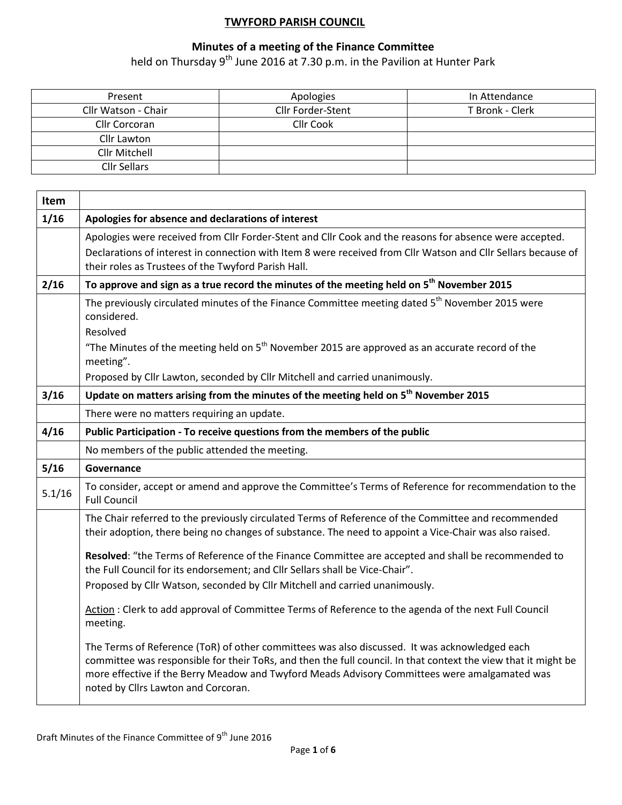## **TWYFORD PARISH COUNCIL**

## **Minutes of a meeting of the Finance Committee**

held on Thursday 9<sup>th</sup> June 2016 at 7.30 p.m. in the Pavilion at Hunter Park

| Present             | Apologies         | In Attendance   |
|---------------------|-------------------|-----------------|
| Cllr Watson - Chair | Cllr Forder-Stent | T Bronk - Clerk |
| Cllr Corcoran       | Cllr Cook         |                 |
| Cllr Lawton         |                   |                 |
| Cllr Mitchell       |                   |                 |
| Cllr Sellars        |                   |                 |

| Item   |                                                                                                                                                                                                                                                                                                                                                         |
|--------|---------------------------------------------------------------------------------------------------------------------------------------------------------------------------------------------------------------------------------------------------------------------------------------------------------------------------------------------------------|
| 1/16   | Apologies for absence and declarations of interest                                                                                                                                                                                                                                                                                                      |
|        | Apologies were received from Cllr Forder-Stent and Cllr Cook and the reasons for absence were accepted.                                                                                                                                                                                                                                                 |
|        | Declarations of interest in connection with Item 8 were received from Cllr Watson and Cllr Sellars because of<br>their roles as Trustees of the Twyford Parish Hall.                                                                                                                                                                                    |
| 2/16   | To approve and sign as a true record the minutes of the meeting held on 5 <sup>th</sup> November 2015                                                                                                                                                                                                                                                   |
|        | The previously circulated minutes of the Finance Committee meeting dated 5 <sup>th</sup> November 2015 were<br>considered.                                                                                                                                                                                                                              |
|        | Resolved                                                                                                                                                                                                                                                                                                                                                |
|        | "The Minutes of the meeting held on $5th$ November 2015 are approved as an accurate record of the<br>meeting".                                                                                                                                                                                                                                          |
|        | Proposed by Cllr Lawton, seconded by Cllr Mitchell and carried unanimously.                                                                                                                                                                                                                                                                             |
| 3/16   | Update on matters arising from the minutes of the meeting held on 5 <sup>th</sup> November 2015                                                                                                                                                                                                                                                         |
|        | There were no matters requiring an update.                                                                                                                                                                                                                                                                                                              |
| 4/16   | Public Participation - To receive questions from the members of the public                                                                                                                                                                                                                                                                              |
|        | No members of the public attended the meeting.                                                                                                                                                                                                                                                                                                          |
| 5/16   | Governance                                                                                                                                                                                                                                                                                                                                              |
| 5.1/16 | To consider, accept or amend and approve the Committee's Terms of Reference for recommendation to the<br><b>Full Council</b>                                                                                                                                                                                                                            |
|        | The Chair referred to the previously circulated Terms of Reference of the Committee and recommended<br>their adoption, there being no changes of substance. The need to appoint a Vice-Chair was also raised.                                                                                                                                           |
|        | Resolved: "the Terms of Reference of the Finance Committee are accepted and shall be recommended to<br>the Full Council for its endorsement; and Cllr Sellars shall be Vice-Chair".                                                                                                                                                                     |
|        | Proposed by Cllr Watson, seconded by Cllr Mitchell and carried unanimously.                                                                                                                                                                                                                                                                             |
|        | Action: Clerk to add approval of Committee Terms of Reference to the agenda of the next Full Council<br>meeting.                                                                                                                                                                                                                                        |
|        | The Terms of Reference (ToR) of other committees was also discussed. It was acknowledged each<br>committee was responsible for their ToRs, and then the full council. In that context the view that it might be<br>more effective if the Berry Meadow and Twyford Meads Advisory Committees were amalgamated was<br>noted by Cllrs Lawton and Corcoran. |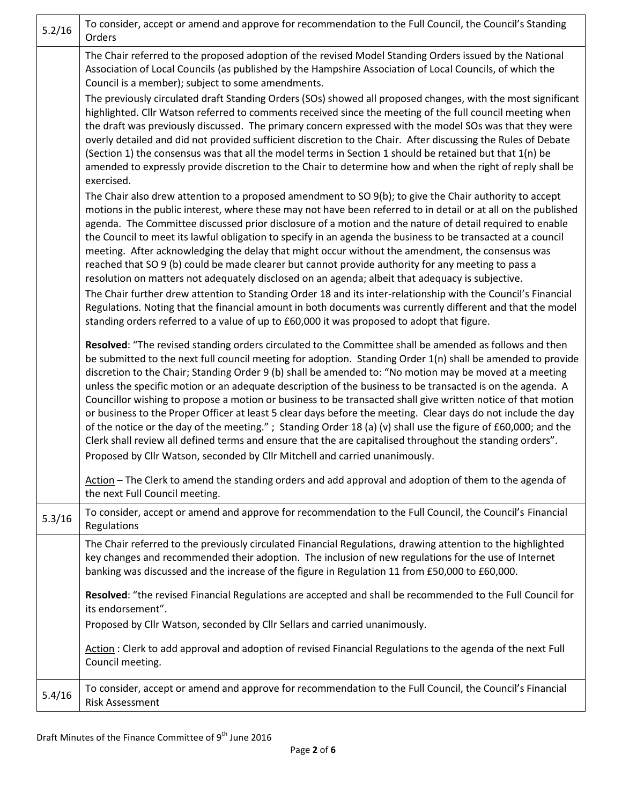| 5.2/16 | To consider, accept or amend and approve for recommendation to the Full Council, the Council's Standing<br>Orders                                                                                                                                                                                                                                                                                                                                                                                                                                                                                                                                                                                                                                                                                                                                                                                                                                                                             |
|--------|-----------------------------------------------------------------------------------------------------------------------------------------------------------------------------------------------------------------------------------------------------------------------------------------------------------------------------------------------------------------------------------------------------------------------------------------------------------------------------------------------------------------------------------------------------------------------------------------------------------------------------------------------------------------------------------------------------------------------------------------------------------------------------------------------------------------------------------------------------------------------------------------------------------------------------------------------------------------------------------------------|
|        | The Chair referred to the proposed adoption of the revised Model Standing Orders issued by the National<br>Association of Local Councils (as published by the Hampshire Association of Local Councils, of which the<br>Council is a member); subject to some amendments.                                                                                                                                                                                                                                                                                                                                                                                                                                                                                                                                                                                                                                                                                                                      |
|        | The previously circulated draft Standing Orders (SOs) showed all proposed changes, with the most significant<br>highlighted. Cllr Watson referred to comments received since the meeting of the full council meeting when<br>the draft was previously discussed. The primary concern expressed with the model SOs was that they were<br>overly detailed and did not provided sufficient discretion to the Chair. After discussing the Rules of Debate<br>(Section 1) the consensus was that all the model terms in Section 1 should be retained but that 1(n) be<br>amended to expressly provide discretion to the Chair to determine how and when the right of reply shall be<br>exercised.                                                                                                                                                                                                                                                                                                  |
|        | The Chair also drew attention to a proposed amendment to SO 9(b); to give the Chair authority to accept<br>motions in the public interest, where these may not have been referred to in detail or at all on the published<br>agenda. The Committee discussed prior disclosure of a motion and the nature of detail required to enable<br>the Council to meet its lawful obligation to specify in an agenda the business to be transacted at a council<br>meeting. After acknowledging the delay that might occur without the amendment, the consensus was<br>reached that SO 9 (b) could be made clearer but cannot provide authority for any meeting to pass a<br>resolution on matters not adequately disclosed on an agenda; albeit that adequacy is subjective.                                                                                                                                                                                                                           |
|        | The Chair further drew attention to Standing Order 18 and its inter-relationship with the Council's Financial<br>Regulations. Noting that the financial amount in both documents was currently different and that the model<br>standing orders referred to a value of up to £60,000 it was proposed to adopt that figure.                                                                                                                                                                                                                                                                                                                                                                                                                                                                                                                                                                                                                                                                     |
|        | Resolved: "The revised standing orders circulated to the Committee shall be amended as follows and then<br>be submitted to the next full council meeting for adoption. Standing Order 1(n) shall be amended to provide<br>discretion to the Chair; Standing Order 9 (b) shall be amended to: "No motion may be moved at a meeting<br>unless the specific motion or an adequate description of the business to be transacted is on the agenda. A<br>Councillor wishing to propose a motion or business to be transacted shall give written notice of that motion<br>or business to the Proper Officer at least 5 clear days before the meeting. Clear days do not include the day<br>of the notice or the day of the meeting."; Standing Order 18 (a) (v) shall use the figure of £60,000; and the<br>Clerk shall review all defined terms and ensure that the are capitalised throughout the standing orders".<br>Proposed by Cllr Watson, seconded by Cllr Mitchell and carried unanimously. |
|        | Action - The Clerk to amend the standing orders and add approval and adoption of them to the agenda of<br>the next Full Council meeting.                                                                                                                                                                                                                                                                                                                                                                                                                                                                                                                                                                                                                                                                                                                                                                                                                                                      |
| 5.3/16 | To consider, accept or amend and approve for recommendation to the Full Council, the Council's Financial<br>Regulations                                                                                                                                                                                                                                                                                                                                                                                                                                                                                                                                                                                                                                                                                                                                                                                                                                                                       |
|        | The Chair referred to the previously circulated Financial Regulations, drawing attention to the highlighted<br>key changes and recommended their adoption. The inclusion of new regulations for the use of Internet<br>banking was discussed and the increase of the figure in Regulation 11 from £50,000 to £60,000.                                                                                                                                                                                                                                                                                                                                                                                                                                                                                                                                                                                                                                                                         |
|        | Resolved: "the revised Financial Regulations are accepted and shall be recommended to the Full Council for<br>its endorsement".                                                                                                                                                                                                                                                                                                                                                                                                                                                                                                                                                                                                                                                                                                                                                                                                                                                               |
|        | Proposed by Cllr Watson, seconded by Cllr Sellars and carried unanimously.                                                                                                                                                                                                                                                                                                                                                                                                                                                                                                                                                                                                                                                                                                                                                                                                                                                                                                                    |
|        | Action: Clerk to add approval and adoption of revised Financial Regulations to the agenda of the next Full<br>Council meeting.                                                                                                                                                                                                                                                                                                                                                                                                                                                                                                                                                                                                                                                                                                                                                                                                                                                                |
| 5.4/16 | To consider, accept or amend and approve for recommendation to the Full Council, the Council's Financial<br><b>Risk Assessment</b>                                                                                                                                                                                                                                                                                                                                                                                                                                                                                                                                                                                                                                                                                                                                                                                                                                                            |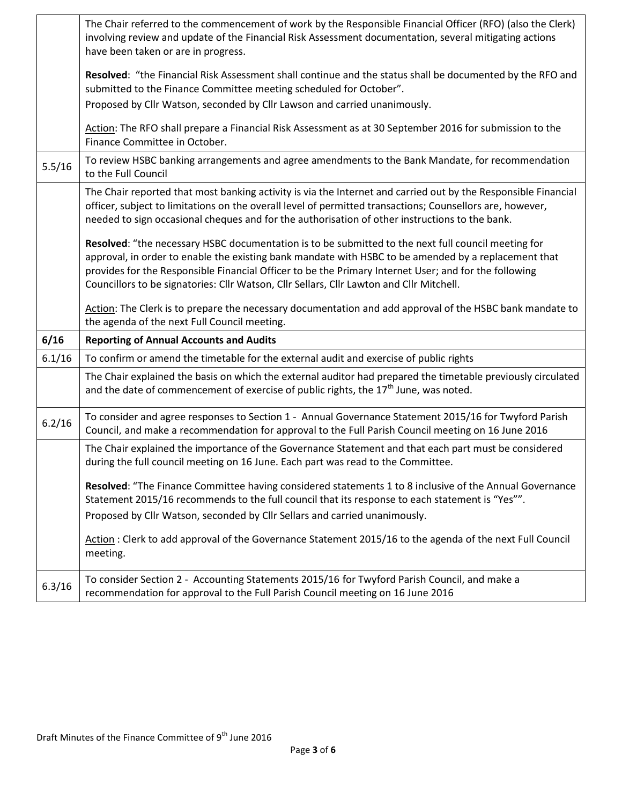|        | The Chair referred to the commencement of work by the Responsible Financial Officer (RFO) (also the Clerk)<br>involving review and update of the Financial Risk Assessment documentation, several mitigating actions<br>have been taken or are in progress.                                                                                                                                                      |
|--------|------------------------------------------------------------------------------------------------------------------------------------------------------------------------------------------------------------------------------------------------------------------------------------------------------------------------------------------------------------------------------------------------------------------|
|        | Resolved: "the Financial Risk Assessment shall continue and the status shall be documented by the RFO and<br>submitted to the Finance Committee meeting scheduled for October".                                                                                                                                                                                                                                  |
|        | Proposed by Cllr Watson, seconded by Cllr Lawson and carried unanimously.                                                                                                                                                                                                                                                                                                                                        |
|        | Action: The RFO shall prepare a Financial Risk Assessment as at 30 September 2016 for submission to the<br>Finance Committee in October.                                                                                                                                                                                                                                                                         |
| 5.5/16 | To review HSBC banking arrangements and agree amendments to the Bank Mandate, for recommendation<br>to the Full Council                                                                                                                                                                                                                                                                                          |
|        | The Chair reported that most banking activity is via the Internet and carried out by the Responsible Financial<br>officer, subject to limitations on the overall level of permitted transactions; Counsellors are, however,<br>needed to sign occasional cheques and for the authorisation of other instructions to the bank.                                                                                    |
|        | Resolved: "the necessary HSBC documentation is to be submitted to the next full council meeting for<br>approval, in order to enable the existing bank mandate with HSBC to be amended by a replacement that<br>provides for the Responsible Financial Officer to be the Primary Internet User; and for the following<br>Councillors to be signatories: Cllr Watson, Cllr Sellars, Cllr Lawton and Cllr Mitchell. |
|        | Action: The Clerk is to prepare the necessary documentation and add approval of the HSBC bank mandate to<br>the agenda of the next Full Council meeting.                                                                                                                                                                                                                                                         |
| 6/16   | <b>Reporting of Annual Accounts and Audits</b>                                                                                                                                                                                                                                                                                                                                                                   |
| 6.1/16 | To confirm or amend the timetable for the external audit and exercise of public rights                                                                                                                                                                                                                                                                                                                           |
|        | The Chair explained the basis on which the external auditor had prepared the timetable previously circulated<br>and the date of commencement of exercise of public rights, the 17 <sup>th</sup> June, was noted.                                                                                                                                                                                                 |
| 6.2/16 | To consider and agree responses to Section 1 - Annual Governance Statement 2015/16 for Twyford Parish<br>Council, and make a recommendation for approval to the Full Parish Council meeting on 16 June 2016                                                                                                                                                                                                      |
|        | The Chair explained the importance of the Governance Statement and that each part must be considered<br>during the full council meeting on 16 June. Each part was read to the Committee.                                                                                                                                                                                                                         |
|        | Resolved: "The Finance Committee having considered statements 1 to 8 inclusive of the Annual Governance<br>Statement 2015/16 recommends to the full council that its response to each statement is "Yes"".                                                                                                                                                                                                       |
|        | Proposed by Cllr Watson, seconded by Cllr Sellars and carried unanimously.                                                                                                                                                                                                                                                                                                                                       |
|        | Action: Clerk to add approval of the Governance Statement 2015/16 to the agenda of the next Full Council<br>meeting.                                                                                                                                                                                                                                                                                             |
| 6.3/16 | To consider Section 2 - Accounting Statements 2015/16 for Twyford Parish Council, and make a<br>recommendation for approval to the Full Parish Council meeting on 16 June 2016                                                                                                                                                                                                                                   |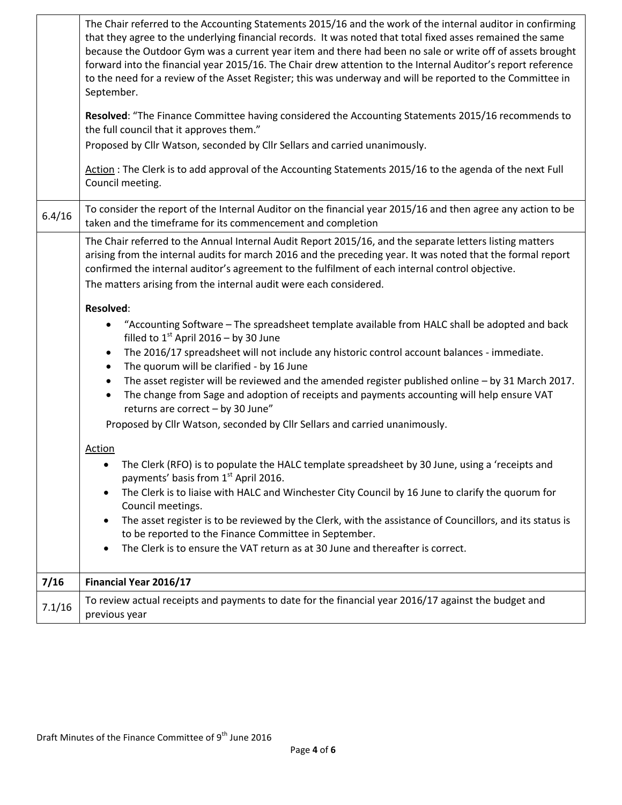|        | The Chair referred to the Accounting Statements 2015/16 and the work of the internal auditor in confirming<br>that they agree to the underlying financial records. It was noted that total fixed asses remained the same<br>because the Outdoor Gym was a current year item and there had been no sale or write off of assets brought<br>forward into the financial year 2015/16. The Chair drew attention to the Internal Auditor's report reference<br>to the need for a review of the Asset Register; this was underway and will be reported to the Committee in<br>September.<br>Resolved: "The Finance Committee having considered the Accounting Statements 2015/16 recommends to<br>the full council that it approves them."<br>Proposed by Cllr Watson, seconded by Cllr Sellars and carried unanimously.<br>Action: The Clerk is to add approval of the Accounting Statements 2015/16 to the agenda of the next Full<br>Council meeting. |
|--------|---------------------------------------------------------------------------------------------------------------------------------------------------------------------------------------------------------------------------------------------------------------------------------------------------------------------------------------------------------------------------------------------------------------------------------------------------------------------------------------------------------------------------------------------------------------------------------------------------------------------------------------------------------------------------------------------------------------------------------------------------------------------------------------------------------------------------------------------------------------------------------------------------------------------------------------------------|
| 6.4/16 | To consider the report of the Internal Auditor on the financial year 2015/16 and then agree any action to be<br>taken and the timeframe for its commencement and completion                                                                                                                                                                                                                                                                                                                                                                                                                                                                                                                                                                                                                                                                                                                                                                       |
|        | The Chair referred to the Annual Internal Audit Report 2015/16, and the separate letters listing matters<br>arising from the internal audits for march 2016 and the preceding year. It was noted that the formal report<br>confirmed the internal auditor's agreement to the fulfilment of each internal control objective.<br>The matters arising from the internal audit were each considered.                                                                                                                                                                                                                                                                                                                                                                                                                                                                                                                                                  |
|        | <b>Resolved:</b>                                                                                                                                                                                                                                                                                                                                                                                                                                                                                                                                                                                                                                                                                                                                                                                                                                                                                                                                  |
|        | "Accounting Software - The spreadsheet template available from HALC shall be adopted and back<br>filled to $1st$ April 2016 – by 30 June                                                                                                                                                                                                                                                                                                                                                                                                                                                                                                                                                                                                                                                                                                                                                                                                          |
|        | The 2016/17 spreadsheet will not include any historic control account balances - immediate.<br>$\bullet$<br>The quorum will be clarified - by 16 June<br>$\bullet$                                                                                                                                                                                                                                                                                                                                                                                                                                                                                                                                                                                                                                                                                                                                                                                |
|        | The asset register will be reviewed and the amended register published online - by 31 March 2017.<br>$\bullet$<br>The change from Sage and adoption of receipts and payments accounting will help ensure VAT<br>$\bullet$<br>returns are correct - by 30 June"                                                                                                                                                                                                                                                                                                                                                                                                                                                                                                                                                                                                                                                                                    |
|        | Proposed by Cllr Watson, seconded by Cllr Sellars and carried unanimously.                                                                                                                                                                                                                                                                                                                                                                                                                                                                                                                                                                                                                                                                                                                                                                                                                                                                        |
|        | <b>Action</b>                                                                                                                                                                                                                                                                                                                                                                                                                                                                                                                                                                                                                                                                                                                                                                                                                                                                                                                                     |
|        | The Clerk (RFO) is to populate the HALC template spreadsheet by 30 June, using a 'receipts and<br>$\bullet$<br>payments' basis from 1st April 2016.                                                                                                                                                                                                                                                                                                                                                                                                                                                                                                                                                                                                                                                                                                                                                                                               |
|        | The Clerk is to liaise with HALC and Winchester City Council by 16 June to clarify the quorum for<br>٠<br>Council meetings.                                                                                                                                                                                                                                                                                                                                                                                                                                                                                                                                                                                                                                                                                                                                                                                                                       |
|        | The asset register is to be reviewed by the Clerk, with the assistance of Councillors, and its status is<br>$\bullet$<br>to be reported to the Finance Committee in September.<br>The Clerk is to ensure the VAT return as at 30 June and thereafter is correct.<br>$\bullet$                                                                                                                                                                                                                                                                                                                                                                                                                                                                                                                                                                                                                                                                     |
|        |                                                                                                                                                                                                                                                                                                                                                                                                                                                                                                                                                                                                                                                                                                                                                                                                                                                                                                                                                   |
| 7/16   | Financial Year 2016/17                                                                                                                                                                                                                                                                                                                                                                                                                                                                                                                                                                                                                                                                                                                                                                                                                                                                                                                            |
| 7.1/16 | To review actual receipts and payments to date for the financial year 2016/17 against the budget and<br>previous year                                                                                                                                                                                                                                                                                                                                                                                                                                                                                                                                                                                                                                                                                                                                                                                                                             |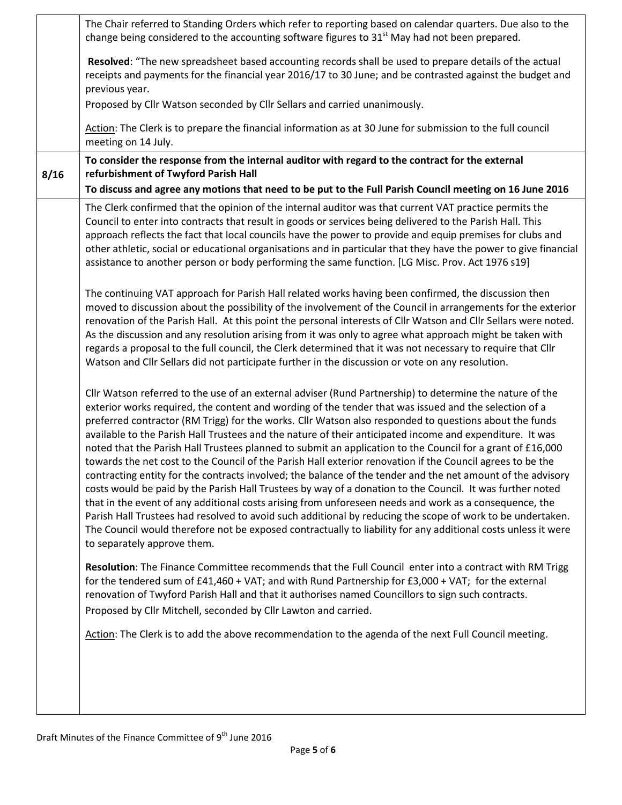|      | The Chair referred to Standing Orders which refer to reporting based on calendar quarters. Due also to the<br>change being considered to the accounting software figures to 31 <sup>st</sup> May had not been prepared.                                                                                                                                                                                                                                                                                                                                                                                                                                                                                                                                                                                                                                                                                                                                                                                                                                                                                                                                                                                                                                                 |
|------|-------------------------------------------------------------------------------------------------------------------------------------------------------------------------------------------------------------------------------------------------------------------------------------------------------------------------------------------------------------------------------------------------------------------------------------------------------------------------------------------------------------------------------------------------------------------------------------------------------------------------------------------------------------------------------------------------------------------------------------------------------------------------------------------------------------------------------------------------------------------------------------------------------------------------------------------------------------------------------------------------------------------------------------------------------------------------------------------------------------------------------------------------------------------------------------------------------------------------------------------------------------------------|
|      | Resolved: "The new spreadsheet based accounting records shall be used to prepare details of the actual<br>receipts and payments for the financial year 2016/17 to 30 June; and be contrasted against the budget and<br>previous year.                                                                                                                                                                                                                                                                                                                                                                                                                                                                                                                                                                                                                                                                                                                                                                                                                                                                                                                                                                                                                                   |
|      | Proposed by Cllr Watson seconded by Cllr Sellars and carried unanimously.                                                                                                                                                                                                                                                                                                                                                                                                                                                                                                                                                                                                                                                                                                                                                                                                                                                                                                                                                                                                                                                                                                                                                                                               |
|      | Action: The Clerk is to prepare the financial information as at 30 June for submission to the full council<br>meeting on 14 July.                                                                                                                                                                                                                                                                                                                                                                                                                                                                                                                                                                                                                                                                                                                                                                                                                                                                                                                                                                                                                                                                                                                                       |
| 8/16 | To consider the response from the internal auditor with regard to the contract for the external<br>refurbishment of Twyford Parish Hall                                                                                                                                                                                                                                                                                                                                                                                                                                                                                                                                                                                                                                                                                                                                                                                                                                                                                                                                                                                                                                                                                                                                 |
|      | To discuss and agree any motions that need to be put to the Full Parish Council meeting on 16 June 2016<br>The Clerk confirmed that the opinion of the internal auditor was that current VAT practice permits the<br>Council to enter into contracts that result in goods or services being delivered to the Parish Hall. This<br>approach reflects the fact that local councils have the power to provide and equip premises for clubs and<br>other athletic, social or educational organisations and in particular that they have the power to give financial<br>assistance to another person or body performing the same function. [LG Misc. Prov. Act 1976 s19]                                                                                                                                                                                                                                                                                                                                                                                                                                                                                                                                                                                                     |
|      | The continuing VAT approach for Parish Hall related works having been confirmed, the discussion then<br>moved to discussion about the possibility of the involvement of the Council in arrangements for the exterior<br>renovation of the Parish Hall. At this point the personal interests of Cllr Watson and Cllr Sellars were noted.<br>As the discussion and any resolution arising from it was only to agree what approach might be taken with<br>regards a proposal to the full council, the Clerk determined that it was not necessary to require that Cllr<br>Watson and Cllr Sellars did not participate further in the discussion or vote on any resolution.                                                                                                                                                                                                                                                                                                                                                                                                                                                                                                                                                                                                  |
|      | Cllr Watson referred to the use of an external adviser (Rund Partnership) to determine the nature of the<br>exterior works required, the content and wording of the tender that was issued and the selection of a<br>preferred contractor (RM Trigg) for the works. Cllr Watson also responded to questions about the funds<br>available to the Parish Hall Trustees and the nature of their anticipated income and expenditure. It was<br>noted that the Parish Hall Trustees planned to submit an application to the Council for a grant of £16,000<br>towards the net cost to the Council of the Parish Hall exterior renovation if the Council agrees to be the<br>contracting entity for the contracts involved; the balance of the tender and the net amount of the advisory<br>costs would be paid by the Parish Hall Trustees by way of a donation to the Council. It was further noted<br>that in the event of any additional costs arising from unforeseen needs and work as a consequence, the<br>Parish Hall Trustees had resolved to avoid such additional by reducing the scope of work to be undertaken.<br>The Council would therefore not be exposed contractually to liability for any additional costs unless it were<br>to separately approve them. |
|      | Resolution: The Finance Committee recommends that the Full Council enter into a contract with RM Trigg<br>for the tendered sum of £41,460 + VAT; and with Rund Partnership for £3,000 + VAT; for the external<br>renovation of Twyford Parish Hall and that it authorises named Councillors to sign such contracts.<br>Proposed by Cllr Mitchell, seconded by Cllr Lawton and carried.                                                                                                                                                                                                                                                                                                                                                                                                                                                                                                                                                                                                                                                                                                                                                                                                                                                                                  |
|      | Action: The Clerk is to add the above recommendation to the agenda of the next Full Council meeting.                                                                                                                                                                                                                                                                                                                                                                                                                                                                                                                                                                                                                                                                                                                                                                                                                                                                                                                                                                                                                                                                                                                                                                    |